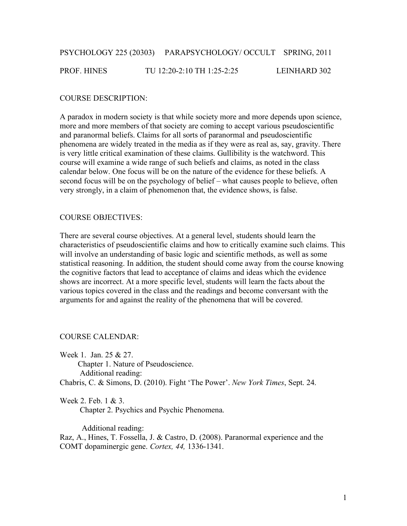# PSYCHOLOGY 225 (20303) PARAPSYCHOLOGY/ OCCULT SPRING, 2011

#### PROF. HINES TU 12:20-2:10 TH 1:25-2:25 LEINHARD 302

#### COURSE DESCRIPTION:

A paradox in modern society is that while society more and more depends upon science, more and more members of that society are coming to accept various pseudoscientific and paranormal beliefs. Claims for all sorts of paranormal and pseudoscientific phenomena are widely treated in the media as if they were as real as, say, gravity. There is very little critical examination of these claims. Gullibility is the watchword. This course will examine a wide range of such beliefs and claims, as noted in the class calendar below. One focus will be on the nature of the evidence for these beliefs. A second focus will be on the psychology of belief – what causes people to believe, often very strongly, in a claim of phenomenon that, the evidence shows, is false.

#### COURSE OBJECTIVES:

There are several course objectives. At a general level, students should learn the characteristics of pseudoscientific claims and how to critically examine such claims. This will involve an understanding of basic logic and scientific methods, as well as some statistical reasoning. In addition, the student should come away from the course knowing the cognitive factors that lead to acceptance of claims and ideas which the evidence shows are incorrect. At a more specific level, students will learn the facts about the various topics covered in the class and the readings and become conversant with the arguments for and against the reality of the phenomena that will be covered.

#### COURSE CALENDAR:

Week 1. Jan. 25 & 27. Chapter 1. Nature of Pseudoscience. Additional reading: Chabris, C. & Simons, D. (2010). Fight 'The Power'. *New York Times*, Sept. 24.

Week 2. Feb. 1 & 3.

Chapter 2. Psychics and Psychic Phenomena.

Additional reading:

Raz, A., Hines, T. Fossella, J. & Castro, D. (2008). Paranormal experience and the COMT dopaminergic gene. *Cortex, 44,* 1336-1341.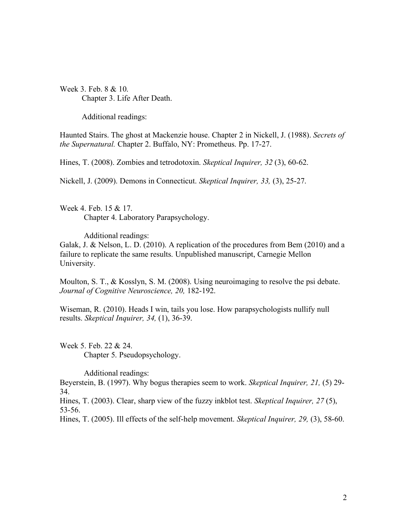Week 3. Feb. 8 & 10. Chapter 3. Life After Death.

Additional readings:

Haunted Stairs. The ghost at Mackenzie house. Chapter 2 in Nickell, J. (1988). *Secrets of the Supernatural.* Chapter 2. Buffalo, NY: Prometheus. Pp. 17-27.

Hines, T. (2008). Zombies and tetrodotoxin. *Skeptical Inquirer, 32* (3), 60-62.

Nickell, J. (2009). Demons in Connecticut. *Skeptical Inquirer, 33,* (3), 25-27.

Week 4. Feb. 15 & 17. Chapter 4. Laboratory Parapsychology.

Additional readings:

Galak, J. & Nelson, L. D. (2010). A replication of the procedures from Bem (2010) and a failure to replicate the same results. Unpublished manuscript, Carnegie Mellon University.

Moulton, S. T., & Kosslyn, S. M. (2008). Using neuroimaging to resolve the psi debate. *Journal of Cognitive Neuroscience, 20,* 182-192.

Wiseman, R. (2010). Heads I win, tails you lose. How parapsychologists nullify null results. *Skeptical Inquirer, 34,* (1), 36-39.

Week 5. Feb. 22 & 24. Chapter 5. Pseudopsychology.

Additional readings:

Beyerstein, B. (1997). Why bogus therapies seem to work. *Skeptical Inquirer, 21,* (5) 29- 34.

Hines, T. (2003). Clear, sharp view of the fuzzy inkblot test. *Skeptical Inquirer, 27* (5), 53-56.

Hines, T. (2005). Ill effects of the self-help movement. *Skeptical Inquirer, 29,* (3), 58-60.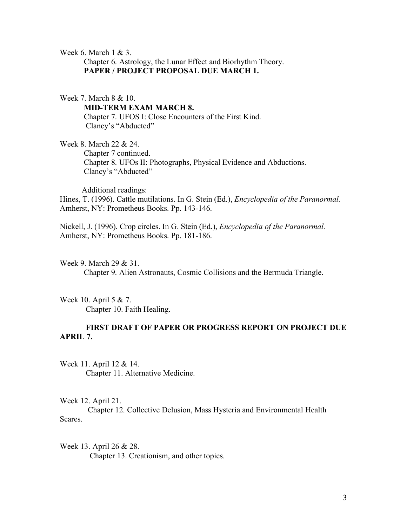Week 6. March 1 & 3.

 Chapter 6. Astrology, the Lunar Effect and Biorhythm Theory. **PAPER / PROJECT PROPOSAL DUE MARCH 1.**

Week 7. March 8 & 10. **MID-TERM EXAM MARCH 8.** Chapter 7. UFOS I: Close Encounters of the First Kind. Clancy's "Abducted"

Week 8. March 22 & 24. Chapter 7 continued. Chapter 8. UFOs II: Photographs, Physical Evidence and Abductions. Clancy's "Abducted"

 Additional readings: Hines, T. (1996). Cattle mutilations. In G. Stein (Ed.), *Encyclopedia of the Paranormal.*  Amherst, NY: Prometheus Books. Pp. 143-146.

Nickell, J. (1996). Crop circles. In G. Stein (Ed.), *Encyclopedia of the Paranormal.*  Amherst, NY: Prometheus Books. Pp. 181-186.

Week 9. March 29 & 31.

Chapter 9. Alien Astronauts, Cosmic Collisions and the Bermuda Triangle.

Week 10. April 5 & 7. Chapter 10. Faith Healing.

# **FIRST DRAFT OF PAPER OR PROGRESS REPORT ON PROJECT DUE APRIL 7.**

Week 11. April 12 & 14. Chapter 11. Alternative Medicine.

Week 12. April 21.

 Chapter 12. Collective Delusion, Mass Hysteria and Environmental Health Scares.

Week 13. April 26 & 28. Chapter 13. Creationism, and other topics.